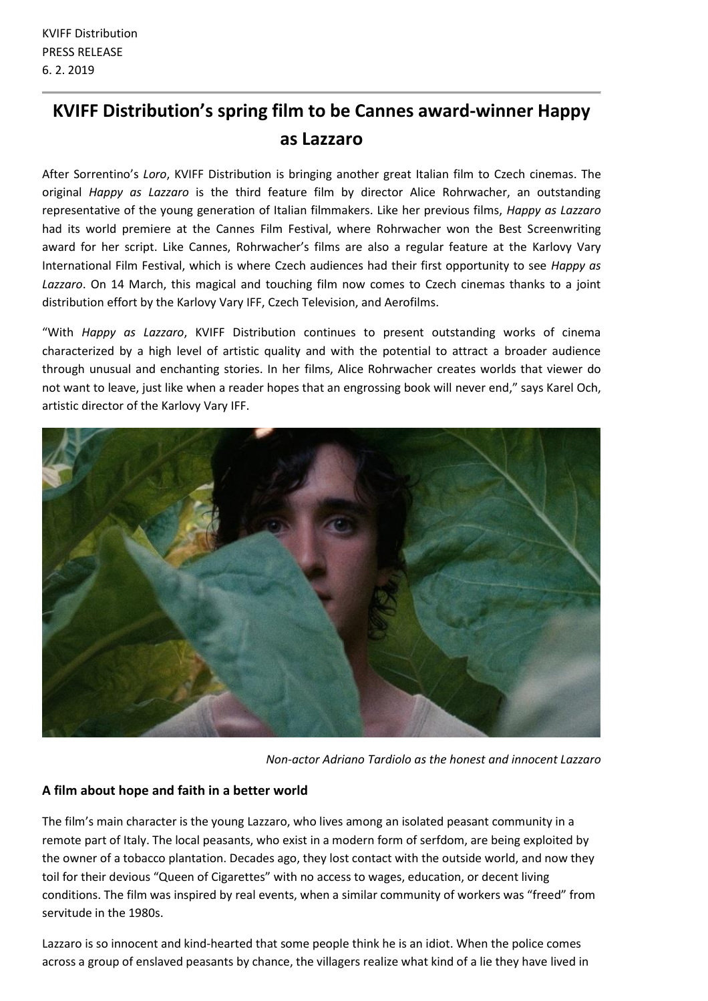## **KVIFF Distribution's spring film to be Cannes award-winner Happy as Lazzaro**

After Sorrentino's *Loro*, KVIFF Distribution is bringing another great Italian film to Czech cinemas. The original *Happy as Lazzaro* is the third feature film by director Alice Rohrwacher, an outstanding representative of the young generation of Italian filmmakers. Like her previous films, *Happy as Lazzaro* had its world premiere at the Cannes Film Festival, where Rohrwacher won the Best Screenwriting award for her script. Like Cannes, Rohrwacher's films are also a regular feature at the Karlovy Vary International Film Festival, which is where Czech audiences had their first opportunity to see *Happy as Lazzaro*. On 14 March, this magical and touching film now comes to Czech cinemas thanks to a joint distribution effort by the Karlovy Vary IFF, Czech Television, and Aerofilms.

"With *Happy as Lazzaro*, KVIFF Distribution continues to present outstanding works of cinema characterized by a high level of artistic quality and with the potential to attract a broader audience through unusual and enchanting stories. In her films, Alice Rohrwacher creates worlds that viewer do not want to leave, just like when a reader hopes that an engrossing book will never end," says Karel Och, artistic director of the Karlovy Vary IFF.



*Non-actor Adriano Tardiolo as the honest and innocent Lazzaro*

## **A film about hope and faith in a better world**

The film's main character is the young Lazzaro, who lives among an isolated peasant community in a remote part of Italy. The local peasants, who exist in a modern form of serfdom, are being exploited by the owner of a tobacco plantation. Decades ago, they lost contact with the outside world, and now they toil for their devious "Queen of Cigarettes" with no access to wages, education, or decent living conditions. The film was inspired by real events, when a similar community of workers was "freed" from servitude in the 1980s.

Lazzaro is so innocent and kind-hearted that some people think he is an idiot. When the police comes across a group of enslaved peasants by chance, the villagers realize what kind of a lie they have lived in